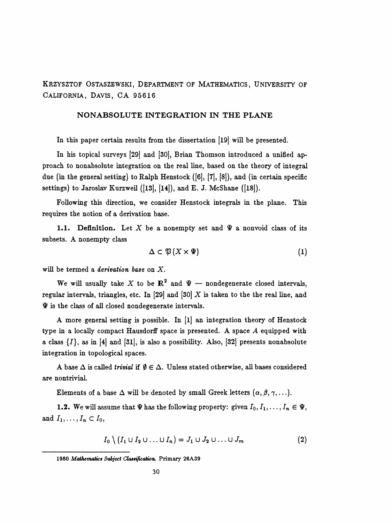Krzysztof Ostaszewski, Department of Mathematics, University of California, Davis, CA 95616

## NONABSOLUTE INTEGRATION IN THE PLANE

In this paper certain results from the dissertation [19] will be presented.

 In his topical surveys [29] and [30], Brian Thomson introduced a unified ap proach to nonabsolute integration on the real line, based on the theory of integral due (in the general setting) to Ralph Henstock ([6], [7], [8]), and (in certain specific settings) to Jaroslav Kurzweil ([13], [14]), and E. J. McShane ([18]).

 Following this direction, we consider Henstock integrals in the plane. This requires the notion of a derivation base.

1.1. Definition. Let X be a nonempty set and  $\Psi$  a nonvoid class of its subsets. A nonempty class

$$
\Delta \subset \mathfrak{P}(X \times \Psi) \tag{1}
$$

will be termed a *derivation base* on X.

We will usually take X to be  $\mathbb{R}^2$  and  $\Psi$  - nondegenerate closed intervals, regular intervals, triangles, etc. In [29] and [30]  $X$  is taken to the the real line, and  $\Psi$  is the class of all closed nondegenerate intervals.

 A more general setting is possible. In [l] an integration theory of Henstock type in a locally compact Hausdorff space is presented. A space A equipped with a class  $\{I\}$ , as in [4] and [31], is also a possibility. Also, [32] presents nonabsolute integration in topological spaces.

A base  $\Delta$  is called *trivial* if  $\emptyset \in \Delta$ . Unless stated otherwise, all bases considered are nontrivial.

Elements of a base  $\Delta$  will be denoted by small Greek letters  $(\alpha, \beta, \gamma, \ldots)$ .

**1.2.** We will assume that  $\Psi$  has the following property: given  $I_0, I_1, \ldots, I_n \in \Psi$ , and  $I_1, \ldots, I_n \subset I_0$ ,

$$
I_0 \setminus (I_1 \cup I_2 \cup \ldots \cup I_n) = J_1 \cup J_2 \cup \ldots \cup J_m \qquad (2)
$$

<sup>1980</sup> Mathematics Subject Classification. Primary 26A39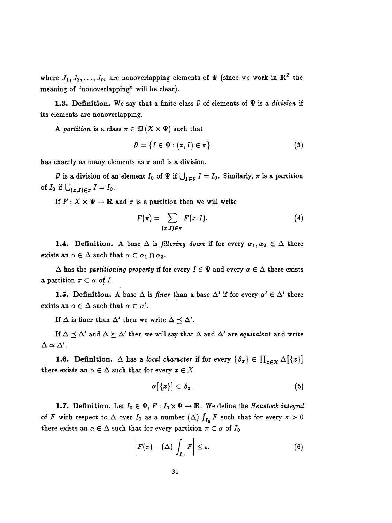where  $J_1, J_2, \ldots, J_m$  are nonoverlapping elements of  $\Psi$  (since we work in  $\mathbb{R}^2$  the meaning of "nonoverlapping" will be clear).

1.3. Definition. We say that a finite class  $D$  of elements of  $\Psi$  is a division if its elements are nonoverlapping.

A partition is a class  $\pi \in \mathfrak{P}(X \times \Psi)$  such that

$$
D = \{I \in \Psi : (x, I) \in \pi\}
$$
 (3)

has exactly as many elements as  $\pi$  and is a division.

D is a division of an element  $I_0$  of  $\Psi$  if  $\bigcup_{I \in D} I = I_0$ . Similarly,  $\pi$  is a partition of  $I_0$  if  $\bigcup_{(x,I)\in\pi} I = I_0$ .

If  $F: X \times \Psi \to \mathbb{R}$  and  $\pi$  is a partition then we will write

$$
F(\pi) = \sum_{(x,I) \in \pi} F(x,I). \tag{4}
$$

**1.4.** Definition. A base  $\Delta$  is filtering down if for every  $\alpha_1, \alpha_2 \in \Delta$  there exists an  $\alpha \in \Delta$  such that  $\alpha \subset \alpha_1 \cap \alpha_2$ .

 $\Delta$  has the partitioning property if for every  $I \in \Psi$  and every  $\alpha \in \Delta$  there exists a partition  $\pi \subset \alpha$  of I.

**1.5. Definition.** A base  $\Delta$  is finer than a base  $\Delta'$  if for every  $\alpha' \in \Delta'$  there exists an  $\alpha \in \Delta$  such that  $\alpha \subset \alpha'$ .

If  $\Delta$  is finer than  $\Delta'$  then we write  $\Delta \preceq \Delta'$ .

If  $\Delta \preceq \Delta'$  and  $\Delta \succeq \Delta'$  then we will say that  $\Delta$  and  $\Delta'$  are equivalent and write  $\Delta \simeq \Delta'$ .

**1.6.** Definition.  $\Delta$  has a local character if for every  $\{\beta_x\} \in \prod_{x \in X} \Delta[\{x\}]$ there exists an  $\alpha \in \Delta$  such that for every  $x \in X$ 

$$
\alpha\big[\{x\}\big]\subset\beta_x.\tag{5}
$$

**1.7.** Definition. Let  $I_0 \in \Psi$ ,  $F: I_0 \times \Psi \to \mathbb{R}$ . We define the *Henstock integral* of F with respect to  $\Delta$  over  $I_0$  as a number  $(\Delta)$   $\int_{I_0}$  F such that for every  $\varepsilon > 0$ there exists an  $\alpha \in \Delta$  such that for every partition  $\pi \subset \alpha$  of  $I_0$ 

$$
\left| F(\pi) - (\Delta) \int_{I_0} F \right| \le \varepsilon. \tag{6}
$$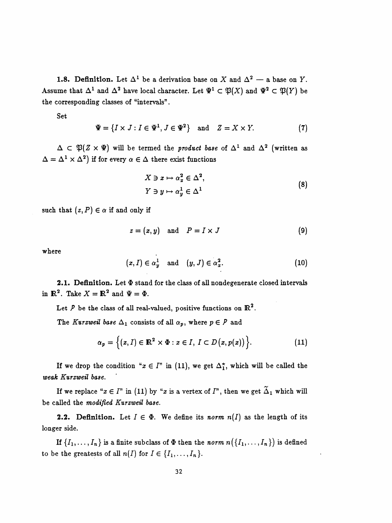1.8. Definition. Let  $\Delta^1$  be a derivation base on X and  $\Delta^2$  – a base on Y. Assume that  $\Delta^1$  and  $\Delta^2$  have local character. Let  $\Psi^1 \subset \mathfrak{P}(X)$  and  $\Psi^2 \subset \mathfrak{P}(Y)$  be the corresponding classes of "intervals".

Set

$$
\Psi = \{I \times J : I \in \Psi^1, J \in \Psi^2\} \quad \text{and} \quad Z = X \times Y. \tag{7}
$$

 $\Delta \subset \mathfrak{P}(Z \times \Psi)$  will be termed the *product base* of  $\Delta^1$  and  $\Delta^2$  (written as  $\Delta = \Delta^1 \times \Delta^2$ ) if for every  $\alpha \in \Delta$  there exist functions

$$
X \ni x \mapsto \alpha_x^2 \in \Delta^2,
$$
  
\n
$$
Y \ni y \mapsto \alpha_y^1 \in \Delta^1
$$
\n(8)

such that  $(z, P) \in \alpha$  if and only if

$$
z = (x, y) \quad \text{and} \quad P = I \times J \tag{9}
$$

where

$$
(x, I) \in \alpha_y^1 \quad \text{and} \quad (y, J) \in \alpha_x^2. \tag{10}
$$

2.1. Definition. Let  $\Phi$  stand for the class of all nondegenerate closed intervals in  $\mathbb{R}^2$ . Take  $X = \mathbb{R}^2$  and  $\Psi = \Phi$ .

Let  $P$  be the class of all real-valued, positive functions on  $\mathbb{R}^2$ .

The Kurzweil base  $\Delta_1$  consists of all  $\alpha_p$ , where  $p \in P$  and

$$
\alpha_p = \Big\{ (x, I) \in \mathbb{R}^2 \times \Phi : x \in I, I \subset D(x, p(x)) \Big\}.
$$
 (11)

If we drop the condition " $x \in I$ " in (11), we get  $\Delta_1^*$ , which will be called the weak Kurzweil base.

If we replace " $x \in I$ " in (11) by "x is a vertex of  $I$ ", then we get  $\tilde{\Delta}_1$  which will be called the modified Kurzweil base.

**2.2.** Definition. Let  $I \in \Phi$ . We define its norm  $n(I)$  as the length of its longer side.

If  $\{I_1,\ldots,I_n\}$  is a finite subclass of  $\Phi$  then the norm  $n(\{I_1,\ldots,I_n\})$  is defined to be the greatests of all  $n(I)$  for  $I \in \{I_1, \ldots, I_n\}$ .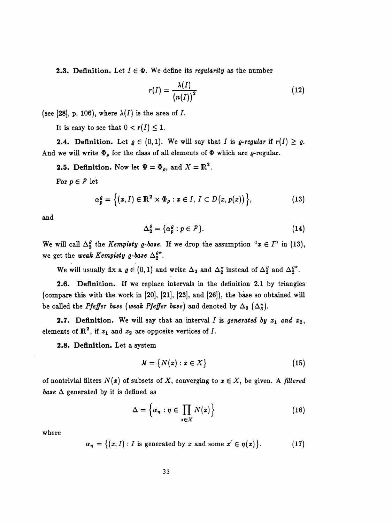**2.3. Definition.** Let  $I \in \Phi$ . We define its *regularity* as the number

$$
r(I) = \frac{\lambda(I)}{\left(n(I)\right)^2} \tag{12}
$$

(see [28], p. 106), where  $\lambda(I)$  is the area of I.

It is easy to see that  $0 < r(I) \leq 1$ .

**2.4.** Definition. Let  $\varrho \in (0,1)$ . We will say that I is  $\varrho$ -regular if  $r(I) \geq \varrho$ . And we will write  $\Phi_{\rho}$  for the class of all elements of  $\Phi$  which are  $\varrho$ -regular.

**2.5. Definition.** Now let  $\Psi = \Phi_{\rho}$ , and  $X = \mathbb{R}^2$ .

For  $p \in P$  let

$$
\alpha_p^{\varrho} = \Big\{ (x, I) \in \mathbb{R}^2 \times \Phi_{\rho} : x \in I, I \subset D(x, p(x)) \Big\},\tag{13}
$$

and

$$
\Delta_2^{\varrho} = {\alpha_p^{\varrho} : p \in \mathcal{P}}.
$$
 (14)

We will call  $\Delta_2^{\varrho}$  the *Kempisty*  $\varrho$ *-base*. If we drop the assumption " $x \in I$ " in (13), we get the weak Kempisty  $\varrho$ -base  $\Delta_2^{\varrho\star}$ .

We will usually fix a  $\varrho \in (0,1)$  and write  $\Delta_2$  and  $\Delta_2^*$  instead of  $\Delta_2^{\varrho}$  and  $\Delta_2^{\varrho^*}$ .

 2.6. Definition. If we replace intervals in the definition 2.1 by triangles (compare this with the work in [20], [21], [23], and [26]), the base so obtained will be called the *Pfeffer base* (*weak Pfeffer base*) and denoted by  $\Delta_3$  ( $\Delta_3^*$ ).

**2.7.** Definition. We will say that an interval I is generated by  $x_1$  and  $x_2$ , elements of  $\mathbb{R}^2$ , if  $x_1$  and  $x_2$  are opposite vertices of I.

2.8. Definition. Let a system

$$
\mathcal{N} = \{ N(x) : x \in X \}
$$
 (15)

of nontrivial filters  $N(x)$  of subsets of X, converging to  $x \in X$ , be given. A filtered base  $\Delta$  generated by it is defined as

$$
\Delta = \left\{ \alpha_{\eta} : \eta \in \prod_{x \in X} N(x) \right\} \tag{16}
$$

where

$$
\alpha_{\eta} = \{(x, I) : I \text{ is generated by } x \text{ and some } x' \in \eta(x)\}.
$$
 (17)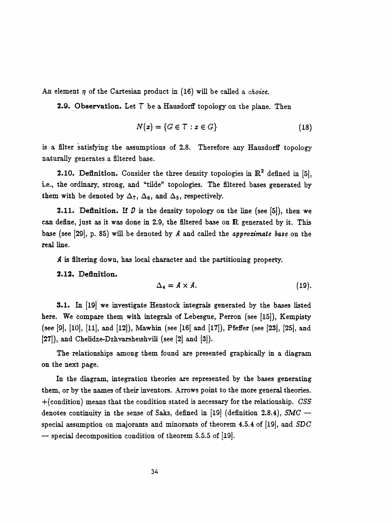An element  $\eta$  of the Cartesian product in (16) will be called a *choice*.

**2.9. Observation.** Let  $T$  be a Hausdorff topology on the plane. Then

$$
N(x) = \{G \in \mathcal{T} : x \in G\}
$$
\n(18)

 is a filter satisfying the assumptions of 2.8. Therefore any Hausdorff topology naturally generates a filtered base.

**2.10. Definition.** Consider the three density topologies in  $\mathbb{R}^2$  defined in [5], i.e., the ordinary, strong, and "tilde" topologies. The filtered bases generated by them with be denoted by  $\Delta_7$ ,  $\Delta_6$ , and  $\Delta_5$ , respectively.

**2.11.** Definition. If  $D$  is the density topology on the line (see [5]), then we can define, just as it was done in 2.9, the filtered base on R generated by it. This base (see [29], p. 85) will be denoted by  $A$  and called the approximate base on the real line.

A is filtering down, has local character and the partitioning property.

2.12. Définition.

$$
\Delta_4 = A \times A. \tag{19}
$$

**3.1.** In [19] we investigate Henstock integrals generated by the bases listed here. We compare them with integrals of Lebesgue, Perron (see [15]), Kempisty (see [9], [10], [11], and [12]), Mawhin (see [16] and [17]), Pfeffer (see [23], [25], and [27]), and Chelidze-Dzhvarsheishvili (see [2] and [3]).

 The relationships among them found are presented graphically in a diagram on the next page.

 In the diagram, integration theories are represented by the bases generating them, or by the names of their inventors. Arrows point to the more general theories. +(condition) means that the condition stated is necessary for the relationship. CSS denotes continuity in the sense of Saks, defined in [19] (definition 2.8.4),  $SMC$ special assumption on majorants and minorants of theorem 4.5.4 of [19], and  $SDC$  $-$  special decomposition condition of theorem 5.5.5 of [19].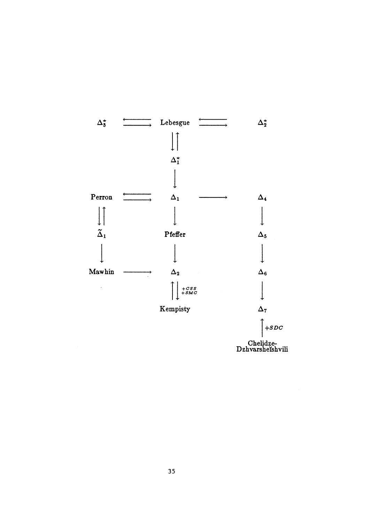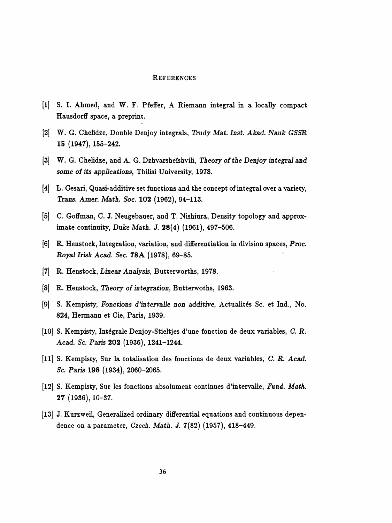## REFERENCES

- [l] S. I. Ahmed, and W. F. Pfeffer, A Riemann integral in a locally compact Hausdorff space, a preprint.
- [2] W. G. Chelidze, Double Denjoy integrals, Trudy Mat. Inst. Akad. Nauk GSSR 15 (1947), 155-242.
- [3] W. G. Chelidze, and A. G. Dzhvarsheïshvili, Theory of the Denjoy integral and some of its applications, Tbilisi University, 1978.
- [4] L. Cesari, Quasi-additive set functions and the concept of integral over a variety, Trans. Amer. Math. Soc. 102 (1962), 94-113.
- [5] C. Goffman, C. J. Neugebauer, and T. Nishiura, Density topology and approx imate continuity, Duke Math. J. 28(4) (1961), 497-506.
- [6] R. Henstock, Integration, variation, and differentiation in division spaces, Proc. Royal Irish Acad. Sec. 78A (1978), 69-85.
- [7] R. Henstock, Linear Analysis, Butterworths, 1978.
- [8] R. Henstock, Theory of integration, Butterwoths, 1963.
- [9] S. Kempisty, Fonctions d'intervalle non additive, Actualités Sc. et Ind., No. 824, Hermann et Cie, Paris, 1939.
- [10] S. Kempisty, Integrale Denjoy-Stieltjes d'une fonction de deux variables, C. R. Acad. Sc. Paris 202 (1936), 1241-1244.
- [11] S. Kempisty, Sur la totalisation des fonctions de deux variables, C. R. Acad. Sc. Paris 198 (1934), 2060-2065.
- [12] S. Kempisty, Sur les fonctions absolument continues d'intervalle, Fund. Math. 27 (1936), 10-37.
- [13] J. Kurzweil, Generalized ordinary differential equations and continuous depen dence on a parameter, Czech. Math. J. 7(82) (1957), 418-449.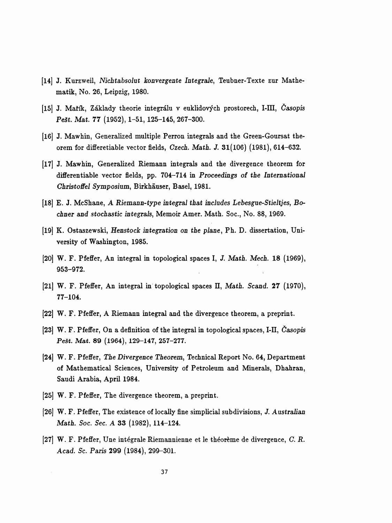- [14] J. Kurzweil, Nichtabsolut konvergente Integrale, Teubner-Texte zur Mathe matik, No. 26, Leipzig, 1980.
- [15| J. Mařík, Základy theorie integrálu v euklidových prostorech, I-IH, Časopis Pešt. Mat. 77 (1952), 1-51, 125-145, 267-300.
- [16] J. Mawhin, Generalized multiple Perron integrals and the Green-Goursat the orem for differetiable vector fields, Czech. Math. J. 31(106) (1981), 614-632.
- [17] J. Mawhin, Generalized Riemann integrals and the divergence theorem for differentiable vector fields, pp. 704-714 in Proceedings of the International Christoffel Symposium, Birkhäuser, Basel, 1981.
- [18] E. J. McShane, A Riemann-type integral that includes Lebesgue-Stieltjes, Bo chner and stochastic integrals, Memoir Amer. Math. Soc., No. 88, 1969.
- [19] K. Ostaszewski, Henstock integration on the plane, Ph. D. dissertation, Uni versity of Washington, 1985.
- [20] W. F. Pfeffer, An integral in topological spaces I, J. Math. Mech. 18 (1969), 953-972.
- [21] W. F. Pfeffer, An integral in topological spaces H, Math. Scand. 27 (1970), 77-104.
- [22] W. F. Pfeffer, A Riemann integral and the divergence theorem, a preprint.
- [23] W. F. Pfeffer, On a definition of the integral in topological spaces, I-II, časopis Pešt. Mat. 89 (1964), 129-147, 257-277.
- [24] W. F. Pfeffer, The Divergence Theorem, Technical Report No. 64, Department of Mathematical Sciences, University of Petroleum and Minerals, Dhahran, Saudi Arabia, April 1984.
- [25] W. F. Pfeffer, The divergence theorem, a preprint.
- [26] W. F. Pfeffer, The existence of locally fine simplicial subdivisions, J. Australian Math. Soc. Sec. A 33 (1982), 114-124.
- [27] W. F. Pfeffer, Une intégrale Riemannienne et le théorème de divergence, G. R. Acad. Se. Paris 299 (1984), 299-301.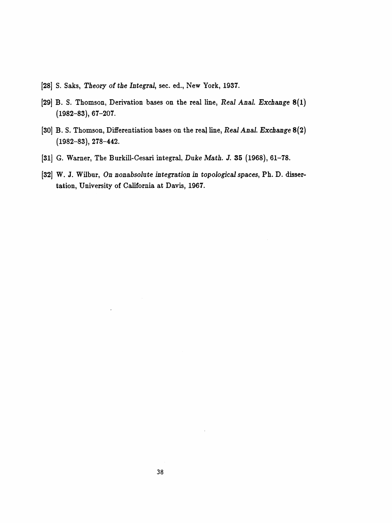- [28] S. Saks, Theory of the Integral, sec. ed., New York, 1937.
- [29] B. S. Thomson, Derivation bases on the real line, Real Anal. Exchange 8(1) (1982-83), 67-207.
- [30] B. S. Thomson, Differentiation bases on the reaļ line, Real Anal. Exchange 8(2) (1982-83), 278-442.
- [31] G. Warner, The Burkill-Cesari integral, Duke Math. J. 35 (1968), 61-78.
- [32] W. J. Wilbur, On nonabsolute integration in topological spaces, Ph. D. dissertation, University of California at Davis, 1967.